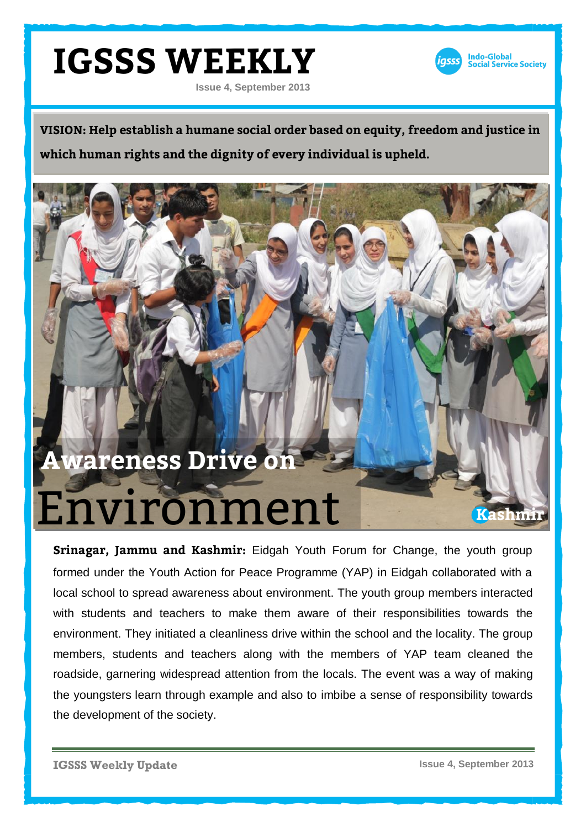#### **IGSSS WEEKLY Issue 4, September 2013**



**VISION: Help establish a humane social order based on equity, freedom and justice in which human rights and the dignity of every individual is upheld.**

## Environment **Awareness Drive on**

**Srinagar, Jammu and Kashmir:** Eidgah Youth Forum for Change, the youth group formed under the Youth Action for Peace Programme (YAP) in Eidgah collaborated with a local school to spread awareness about environment. The youth group members interacted with students and teachers to make them aware of their responsibilities towards the environment. They initiated a cleanliness drive within the school and the locality. The group members, students and teachers along with the members of YAP team cleaned the roadside, garnering widespread attention from the locals. The event was a way of making the youngsters learn through example and also to imbibe a sense of responsibility towards the development of the society.

**IGSSS Weekly Update**

**Issue 4, September 2013**

**Kashmir**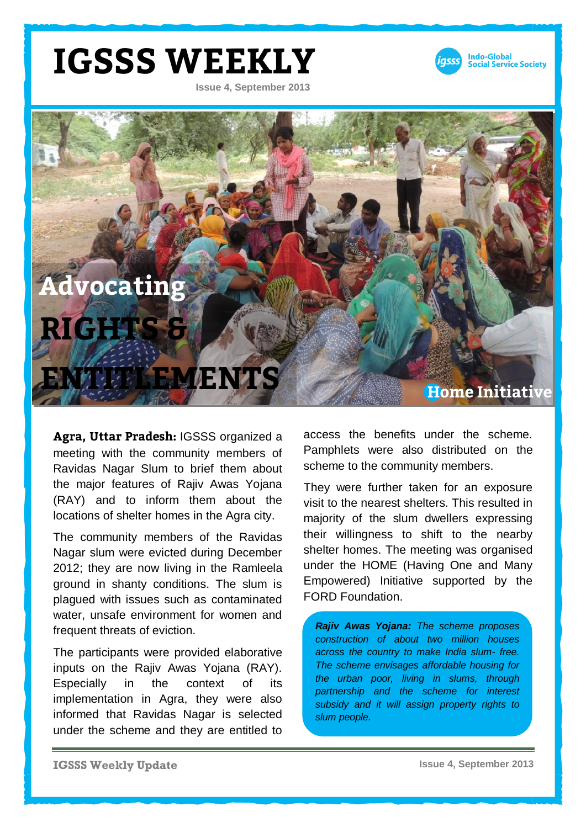#### **IGSSS WEEKLY**

**Issue 4, September 2013**





**Agra, Uttar Pradesh:** IGSSS organized a meeting with the community members of Ravidas Nagar Slum to brief them about the major features of Rajiv Awas Yojana (RAY) and to inform them about the locations of shelter homes in the Agra city.

The community members of the Ravidas Nagar slum were evicted during December 2012; they are now living in the Ramleela ground in shanty conditions. The slum is plagued with issues such as contaminated water, unsafe environment for women and frequent threats of eviction.

The participants were provided elaborative inputs on the Rajiv Awas Yojana (RAY). Especially in the context of its implementation in Agra, they were also informed that Ravidas Nagar is selected under the scheme and they are entitled to

access the benefits under the scheme. Pamphlets were also distributed on the scheme to the community members.

They were further taken for an exposure visit to the nearest shelters. This resulted in majority of the slum dwellers expressing their willingness to shift to the nearby shelter homes. The meeting was organised under the HOME (Having One and Many Empowered) Initiative supported by the FORD Foundation.

*Rajiv Awas Yojana: The scheme proposes construction of about two million houses across the country to make India slum- free. The scheme envisages affordable housing for the urban poor, living in slums, through partnership and the scheme for interest subsidy and it will assign property rights to slum people.*

**IGSSS Weekly Update**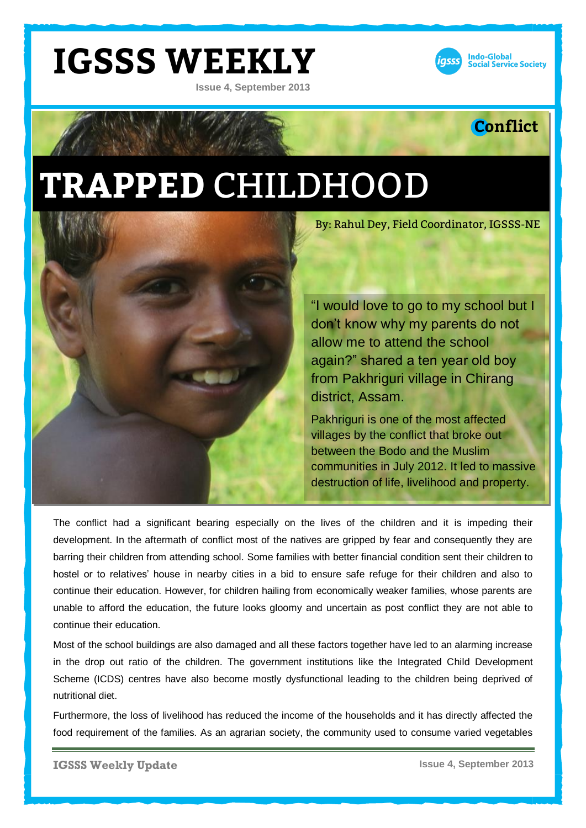### **IGSSS WEEKLY**

**Issue 4, September 2013**



#### **Conflict**

# **TRAPPED** CHILDHOOD



By: Rahul Dey, Field Coordinator, IGSSS-NE

"I would love to go to my school but I don't know why my parents do not allow me to attend the school again?" shared a ten year old boy from Pakhriguri village in Chirang district, Assam.

Pakhriguri is one of the most affected villages by the conflict that broke out between the Bodo and the Muslim communities in July 2012. It led to massive destruction of life, livelihood and property.

The conflict had a significant bearing especially on the lives of the children and it is impeding their development. In the aftermath of conflict most of the natives are gripped by fear and consequently they are barring their children from attending school. Some families with better financial condition sent their children to hostel or to relatives' house in nearby cities in a bid to ensure safe refuge for their children and also to continue their education. However, for children hailing from economically weaker families, whose parents are unable to afford the education, the future looks gloomy and uncertain as post conflict they are not able to continue their education.

Most of the school buildings are also damaged and all these factors together have led to an alarming increase in the drop out ratio of the children. The government institutions like the Integrated Child Development Scheme (ICDS) centres have also become mostly dysfunctional leading to the children being deprived of nutritional diet.

Furthermore, the loss of livelihood has reduced the income of the households and it has directly affected the food requirement of the families. As an agrarian society, the community used to consume varied vegetables

**IGSSS Weekly Update**